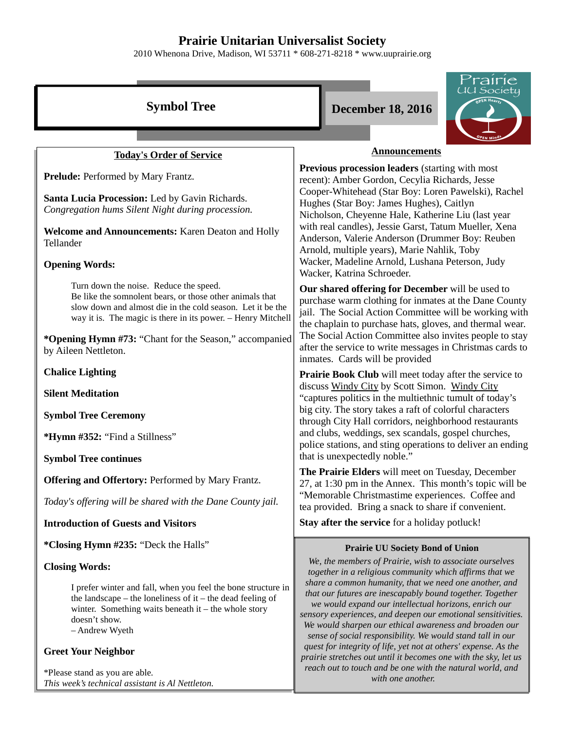## **Prairie Unitarian Universalist Society**

2010 Whenona Drive, Madison, WI 53711 \* 608-271-8218 \* www.uuprairie.org

|                                                                                                                                                                                                                                                                                            | rairie                                                                                                                                                                                                                                                                                                                                                               |  |  |
|--------------------------------------------------------------------------------------------------------------------------------------------------------------------------------------------------------------------------------------------------------------------------------------------|----------------------------------------------------------------------------------------------------------------------------------------------------------------------------------------------------------------------------------------------------------------------------------------------------------------------------------------------------------------------|--|--|
| <b>Symbol Tree</b>                                                                                                                                                                                                                                                                         | JU Society<br><b>December 18, 2016</b>                                                                                                                                                                                                                                                                                                                               |  |  |
|                                                                                                                                                                                                                                                                                            |                                                                                                                                                                                                                                                                                                                                                                      |  |  |
| <b>Today's Order of Service</b>                                                                                                                                                                                                                                                            | <b>Announcements</b>                                                                                                                                                                                                                                                                                                                                                 |  |  |
| Prelude: Performed by Mary Frantz.                                                                                                                                                                                                                                                         | <b>Previous procession leaders (starting with most)</b><br>recent): Amber Gordon, Cecylia Richards, Jesse                                                                                                                                                                                                                                                            |  |  |
| Santa Lucia Procession: Led by Gavin Richards.<br>Congregation hums Silent Night during procession.                                                                                                                                                                                        | Cooper-Whitehead (Star Boy: Loren Pawelski), Rachel<br>Hughes (Star Boy: James Hughes), Caitlyn<br>Nicholson, Cheyenne Hale, Katherine Liu (last year                                                                                                                                                                                                                |  |  |
| Welcome and Announcements: Karen Deaton and Holly<br>Tellander                                                                                                                                                                                                                             | with real candles), Jessie Garst, Tatum Mueller, Xena<br>Anderson, Valerie Anderson (Drummer Boy: Reuben<br>Arnold, multiple years), Marie Nahlik, Toby<br>Wacker, Madeline Arnold, Lushana Peterson, Judy<br>Wacker, Katrina Schroeder.                                                                                                                             |  |  |
| <b>Opening Words:</b>                                                                                                                                                                                                                                                                      |                                                                                                                                                                                                                                                                                                                                                                      |  |  |
| Turn down the noise. Reduce the speed.<br>Be like the somnolent bears, or those other animals that<br>slow down and almost die in the cold season. Let it be the<br>way it is. The magic is there in its power. - Henry Mitchell<br>*Opening Hymn #73: "Chant for the Season," accompanied | Our shared offering for December will be used to<br>purchase warm clothing for inmates at the Dane County<br>jail. The Social Action Committee will be working with<br>the chaplain to purchase hats, gloves, and thermal wear.<br>The Social Action Committee also invites people to stay                                                                           |  |  |
| by Aileen Nettleton.                                                                                                                                                                                                                                                                       | after the service to write messages in Christmas cards to<br>inmates. Cards will be provided                                                                                                                                                                                                                                                                         |  |  |
| <b>Chalice Lighting</b>                                                                                                                                                                                                                                                                    | Prairie Book Club will meet today after the service to                                                                                                                                                                                                                                                                                                               |  |  |
| <b>Silent Meditation</b>                                                                                                                                                                                                                                                                   | discuss Windy City by Scott Simon. Windy City<br>"captures politics in the multiethnic tumult of today's                                                                                                                                                                                                                                                             |  |  |
| <b>Symbol Tree Ceremony</b>                                                                                                                                                                                                                                                                | big city. The story takes a raft of colorful characters<br>through City Hall corridors, neighborhood restaurants                                                                                                                                                                                                                                                     |  |  |
| *Hymn #352: "Find a Stillness"                                                                                                                                                                                                                                                             | and clubs, weddings, sex scandals, gospel churches,<br>police stations, and sting operations to deliver an ending                                                                                                                                                                                                                                                    |  |  |
| <b>Symbol Tree continues</b>                                                                                                                                                                                                                                                               | that is unexpectedly noble."                                                                                                                                                                                                                                                                                                                                         |  |  |
| <b>Offering and Offertory: Performed by Mary Frantz.</b>                                                                                                                                                                                                                                   | The Prairie Elders will meet on Tuesday, December<br>27, at 1:30 pm in the Annex. This month's topic will be<br>"Memorable Christmastime experiences. Coffee and<br>tea provided. Bring a snack to share if convenient.                                                                                                                                              |  |  |
| Today's offering will be shared with the Dane County jail.                                                                                                                                                                                                                                 |                                                                                                                                                                                                                                                                                                                                                                      |  |  |
| <b>Introduction of Guests and Visitors</b>                                                                                                                                                                                                                                                 | Stay after the service for a holiday potluck!                                                                                                                                                                                                                                                                                                                        |  |  |
| *Closing Hymn #235: "Deck the Halls"                                                                                                                                                                                                                                                       | <b>Prairie UU Society Bond of Union</b>                                                                                                                                                                                                                                                                                                                              |  |  |
| <b>Closing Words:</b>                                                                                                                                                                                                                                                                      | We, the members of Prairie, wish to associate ourselves<br>together in a religious community which affirms that we                                                                                                                                                                                                                                                   |  |  |
| I prefer winter and fall, when you feel the bone structure in<br>the landscape – the loneliness of $it$ – the dead feeling of<br>winter. Something waits beneath it – the whole story<br>doesn't show.<br>- Andrew Wyeth                                                                   | share a common humanity, that we need one another, and<br>that our futures are inescapably bound together. Together<br>we would expand our intellectual horizons, enrich our<br>sensory experiences, and deepen our emotional sensitivities.<br>We would sharpen our ethical awareness and broaden our<br>sense of social responsibility. We would stand tall in our |  |  |
| <b>Greet Your Neighbor</b>                                                                                                                                                                                                                                                                 | quest for integrity of life, yet not at others' expense. As the<br>prairie stretches out until it becomes one with the sky, let us                                                                                                                                                                                                                                   |  |  |
| *Please stand as you are able.<br>This week's technical assistant is Al Nettleton.                                                                                                                                                                                                         | reach out to touch and be one with the natural world, and<br>with one another.                                                                                                                                                                                                                                                                                       |  |  |